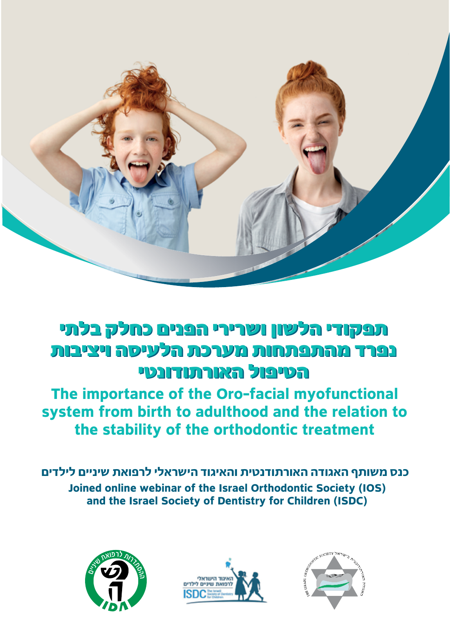

# תפקודי הלשון ושרירי הפנים כחלק בלתי תפקודי הלשון ושרירי הפנים כחלק בלתי נפרד מהתפתחות מערכת הלעיסה ויציבות נפרד מהתפתחות מערכת הלעיסה ויציבות הטיפול האורתודונטי הטיפול האורתודונטי

**The importance of the Oro-facial myofunctional** system from birth to adulthood and the relation to the stability of the orthodontic treatment

**כנס משותף האגודה האורתודנטית והאיגוד הישראלי לרפואת שיניים לילדים Joined online webinar of the Israel Orthodontic Society (IOS)** and the Israel Society of Dentistry for Children (ISDC)





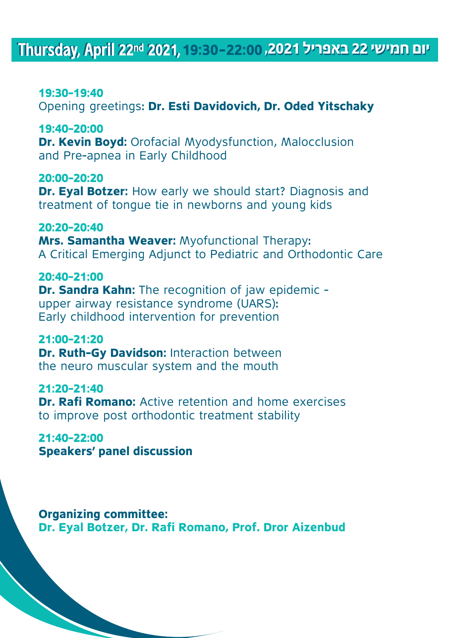## Thursday, April 22<sup>nd</sup> 2021, 19:30-22:00, 2021 22 April 23 PM

### **19:30-19:40**

Opening greetings: Dr. Esti Davidovich, Dr. Oded Yitschaky

### **19:40-20:00**

**Dr. Kevin Boyd:** Orofacial Myodysfunction, Malocclusion and Pre-apnea in Early Childhood

### **20:00-20:20**

**Dr. Eval Botzer:** How early we should start? Diagnosis and treatment of tongue tie in newborns and young kids

#### **20:20-20:40**

**Mrs. Samantha Weaver: Myofunctional Therapy:** A Critical Emerging Adjunct to Pediatric and Orthodontic Care

#### **20:40-21:00**

**Dr. Sandra Kahn:** The recognition of jaw epidemic upper airway resistance syndrome (UARS): Early childhood intervention for prevention

#### **21:00-21:20**

**Dr. Ruth-Gy Davidson: Interaction between** the neuro muscular system and the mouth

### **21:20-21:40**

**Dr. Rafi Romano:** Active retention and home exercises to improve post orthodontic treatment stability

## **21:40-22:00**

**Speakers' panel discussion** 

**Organizing committee: Dr. Eval Botzer, Dr. Rafi Romano, Prof. Dror Aizenbud**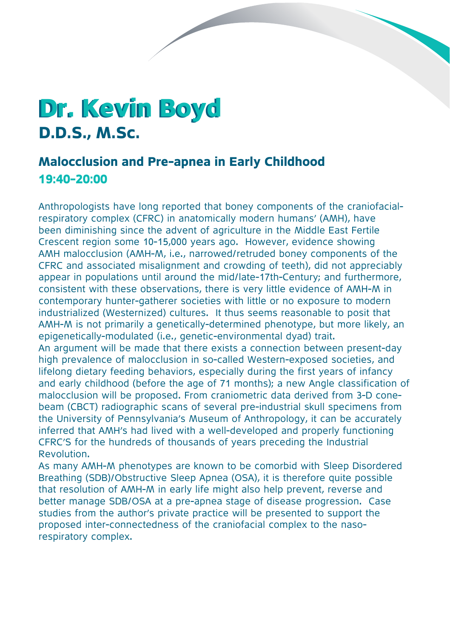# **Dr. Kevin Boyd D.D.S., M.Sc.**

## **Malocclusion and Pre-apnea in Early Childhood 19:40-20:00**

**Contract Contract Contract Contract Contract Contract Contract Contract Contract Contract Contract Contract Contract Contract Contract Contract Contract Contract Contract Contract Contract Contract Contract Contract Contr** 

respiratory complex (CFRC) in anatomically modern humans' (AMH), have Anthropologists have long reported that boney components of the craniofacialbeen diminishing since the advent of agriculture in the Middle East Fertile Crescent region some 10-15,000 years ago. However, evidence showing AMH malocclusion (AMH-M, i.e., narrowed/retruded boney components of the CFRC and associated misalignment and crowding of teeth), did not appreciably appear in populations until around the mid/late-17th-Century: and furthermore, consistent with these observations, there is very little evidence of AMH-M in contemporary hunter-gatherer societies with little or no exposure to modern industrialized (Westernized) cultures. It thus seems reasonable to posit that AMH-M is not primarily a genetically-determined phenotype, but more likely, an epigenetically-modulated (i.e., genetic-environmental dyad) trait. An argument will be made that there exists a connection between present-day

high prevalence of malocclusion in so-called Western-exposed societies, and lifelong dietary feeding behaviors, especially during the first years of infancy and early childhood (before the age of 71 months); a new Angle classification of beam (CBCT) radiographic scans of several pre-industrial skull specimens from malocclusion will be proposed. From craniometric data derived from 3-D conethe University of Pennsylvania's Museum of Anthropology, it can be accurately inferred that AMH's had lived with a well-developed and properly functioning CFRC'S for the hundreds of thousands of years preceding the Industrial Revolution.

As many AMH-M phenotypes are known to be comorbid with Sleep Disordered Breathing (SDB)/Obstructive Sleep Apnea (OSA), it is therefore quite possible that resolution of AMH-M in early life might also help prevent, reverse and better manage SDB/OSA at a pre-apnea stage of disease progression. Case studies from the author's private practice will be presented to support the proposed inter-connectedness of the craniofacial complex to the naso-<br>respiratory complex.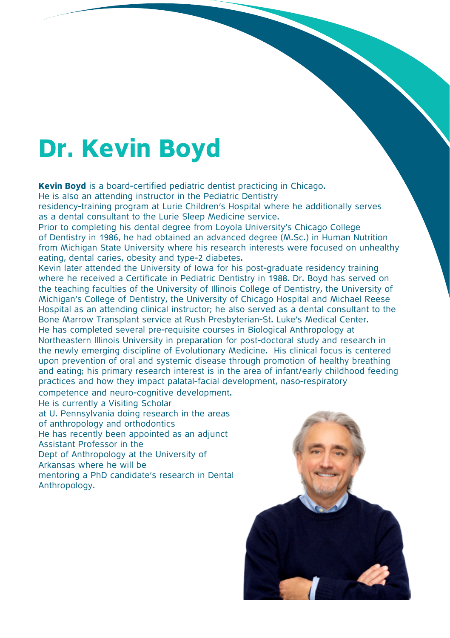# **Dr. Kevin Boyd**

Kevin Boyd is a board-certified pediatric dentist practicing in Chicago. He is also an attending instructor in the Pediatric Dentistry residency-training program at Lurie Children's Hospital where he additionally serves as a dental consultant to the Lurie Sleep Medicine service.

Prior to completing his dental degree from Loyola University's Chicago College of Dentistry in 1986, he had obtained an advanced degree (M.Sc.) in Human Nutrition from Michigan State University where his research interests were focused on unhealthy eating, dental caries, obesity and type-2 diabetes.

Kevin later attended the University of Iowa for his post-graduate residency training where he received a Certificate in Pediatric Dentistry in 1988. Dr. Boyd has served on the teaching faculties of the University of Illinois College of Dentistry, the University of Michigan's College of Dentistry, the University of Chicago Hospital and Michael Reese Hospital as an attending clinical instructor; he also served as a dental consultant to the Bone Marrow Transplant service at Rush Presbyterian-St. Luke's Medical Center. He has completed several pre-requisite courses in Biological Anthropology at Northeastern Illinois University in preparation for post-doctoral study and research in the newly emerging discipline of Evolutionary Medicine. His clinical focus is centered upon prevention of oral and systemic disease through promotion of healthy breathing and eating; his primary research interest is in the area of infant/early childhood feeding practices and how they impact palatal-facial development, naso-respiratory

competence and neuro-cognitive development. He is currently a Visiting Scholar at U. Pennsylvania doing research in the areas of anthropology and orthodontics He has recently been appointed as an adiunct Assistant Professor in the Dept of Anthropology at the University of Arkansas where he will be mentoring a PhD candidate's research in Dental Anthropology.

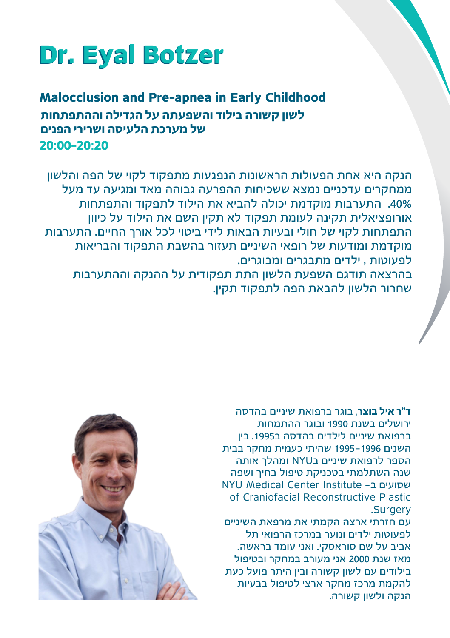# **Dr. Eyal Botzer**

**Malocclusion and Pre-apnea in Early Childhood 20:00-20:20 לשון קשורה בילוד והשפעתה על הגדילה וההתפתחות של מערכת הלעיסה ושרירי הפנים**

הנקה היא אחת הפעולות הראשונות הנפגעות מתפקוד לקוי של הפה והלשון ממחקרים עדכניים נמצא ששכיחות ההפרעה גבוהה מאד ומגיעה עד מעל .40% התערבות מוקדמת יכולה להביא את הילוד לתפקוד והתפתחות אורופציאלית תקינה לעומת תפקוד לא תקין השם את הילוד על כיוון התפתחות לקוי של חולי ובעיות הבאות לידי ביטוי לכל אורך החיים. התערבות מוקדמת ומודעות של רופאי השיניים תעזור בהשבת התפקוד והבריאות לפעוטות , ילדים מתבגרים ומבוגרים.

בהרצאה תודגם השפעת הלשון התת תפקודית על ההנקה וההתערבות שחרור הלשון להבאת הפה לתפקוד תקין.

> **ד"ר איל בוצר**, בוגר ברפואת שיניים בהדסה ירושלים בשנת 1990 ובוגר ההתמחות ברפואת שיניים לילדים בהדסה ב.1995 בין השנים 1995-1996 שהיתי כעמית מחקר בבית הספר לרפואת שיניים בNYU ומהלך אותה שנה השתלמתי בטכניקת טיפול בחיך ושפה שסועים ב- Institute Center Medical NYU of Craniofacial Reconstructive Plastic Surgery.

> עם חזרתי ארצה הקמתי את מרפאת השיניים לפעוטות ילדים ונוער במרכז הרפואי תל אביב על שם סוראסקי. ואני עומד בראשה. מאז שנת 2000 אני מעורב במחקר ובטיפול בילודים עם לשון קשורה ובין היתר פועל כעת להקמת מרכז מחקר ארצי לטיפול בבעיות הנקה ולשון קשורה.

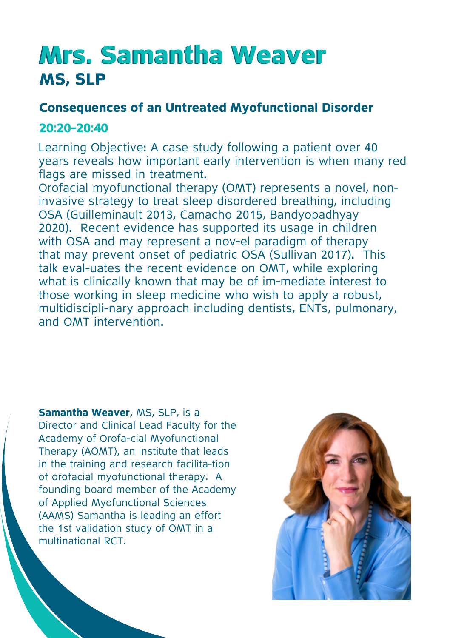# **Mrs. Samantha Weaver MS, SLP**

### **Consequences of an Untreated Myofunctional Disorder**

### **20:20-20:40**

Learning Objective: A case study following a patient over 40 vears reveals how important early intervention is when many red flags are missed in treatment.

invasive strategy to treat sleep disordered breathing, including Orofacial myofunctional therapy (OMT) represents a novel, non-OSA (Guilleminault 2013, Camacho 2015, Bandyopadhyay 2020). Recent evidence has supported its usage in children with OSA and may represent a nov-el paradigm of therapy that may prevent onset of pediatric OSA (Sullivan 2017). This talk eval-uates the recent evidence on OMT, while exploring what is clinically known that may be of im-mediate interest to those working in sleep medicine who wish to apply a robust, multidiscipli-nary approach including dentists, ENTs, pulmonary, and OMT intervention

**Samantha Weaver, MS, SLP, is a** Director and Clinical Lead Faculty for the Academy of Orofa-cial Myofunctional Therapy (AOMT), an institute that leads in the training and research facilita-tion of orofacial myofunctional therapy. A founding board member of the Academy of Applied Myofunctional Sciences (AAMS) Samantha is leading an effort the 1st validation study of OMT in a multinational RCT

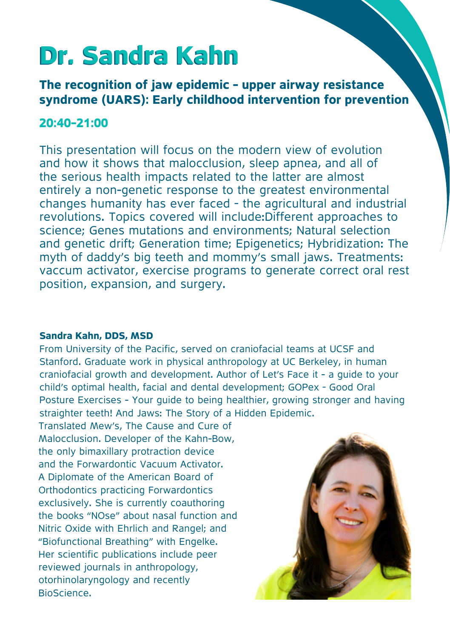# **Dr. Sandra Kahn**

**The recognition of jaw epidemic - upper airway resistance** syndrome (UARS): Early childhood intervention for prevention

### **20:40-21:00**

This presentation will focus on the modern view of evolution and how it shows that malocclusion, sleep apnea, and all of the serious health impacts related to the latter are almost entirely a non-genetic response to the greatest environmental changes humanity has ever faced - the agricultural and industrial revolutions. Topics covered will include: Different approaches to science; Genes mutations and environments; Natural selection and genetic drift: Generation time: Epigenetics: Hybridization: The myth of daddy's big teeth and mommy's small jaws. Treatments: vaccum activator, exercise programs to generate correct oral rest position, expansion, and surgery.

#### **Sandra Kahn, DDS, MSD**

From University of the Pacific, served on craniofacial teams at UCSF and Stanford, Graduate work in physical anthropology at UC Berkeley, in human craniofacial growth and development. Author of Let's Face it - a guide to your child's optimal health, facial and dental development: GOPex - Good Oral Posture Exercises - Your guide to being healthier, growing stronger and having straighter teeth! And Jaws: The Story of a Hidden Epidemic.

Translated Mew's, The Cause and Cure of Malocclusion. Developer of the Kahn-Bow, the only bimaxillary protraction device and the Forwardontic Vacuum Activator. A Diplomate of the American Board of Orthodontics practicing Forwardontics exclusively. She is currently coauthoring the books "NOse" about nasal function and Nitric Oxide with Ehrlich and Rangel: and "Biofunctional Breathing" with Engelke. Her scientific publications include peer reviewed journals in anthropology. otorhinolaryngology and recently .BioScience

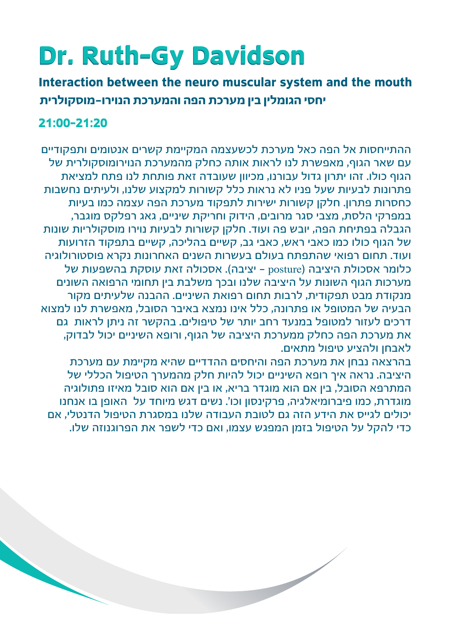# **Dr. Ruth-Gy Davidson**

**Interaction between the neuro muscular system and the mouth יחסי הגומלין בין מערכת הפה והמערכת הנוירו-מוסקולרית**

### **21:00-21:20**

ההתייחסות אל הפה כאל מערכת לכשעצמה המקיימת קשרים אנטומים ותפקודיים עם שאר הגוף, מאפשרת לנו לראות אותה כחלק מהמערכת הנוירומוסקולרית של הגוף כולו. זהו יתרון גדול עבורנו, מכיוון שעובדה זאת פותחת לנו פתח למציאת פתרונות לבעיות שעל פניו לא נראות כלל קשורות למקצוע שלנו, ולעיתים נחשבות כחסרות פתרון. חלקן קשורות ישירות לתפקוד מערכת הפה עצמה כמו בעיות במפרקי הלסת, מצבי סגר מרובים, הידוק וחריקת שיניים, גאג רפלקס מוגבר, הגבלה בפתיחת הפה, יובש פה ועוד. חלקן קשורות לבעיות נוירו מוסקולריות שונות של הגוף כולו כמו כאבי ראש, כאבי גב, קשיים בהליכה, קשיים בתפקוד הזרועות ועוד. תחום רפואי שהתפתח בעולם בעשרות השנים האחרונות נקרא פוסטורולוגיה כלומר אסכולת היציבה )posture - יציבה(. אסכולה זאת עוסקת בהשפעות של מערכות הגוף השונות על היציבה שלנו ובכך משלבת בין תחומי הרפואה השונים מנקודת מבט תפקודית, לרבות תחום רפואת השיניים. ההבנה שלעיתים מקור הבעיה של המטופל או פתרונה, כלל אינו נמצא באיבר הסובל, מאפשרת לנו למצוא דרכים לעזור למטופל במנעד רחב יותר של טיפולים. בהקשר זה ניתן לראות גם את מערכת הפה כחלק ממערכת היציבה של הגוף, ורופא השיניים יכול לבדוק, לאבחן ולהציע טיפול מתאים.

בהרצאה נבחן את מערכת הפה והיחסים ההדדיים שהיא מקיימת עם מערכת היציבה. נראה איך רופא השיניים יכול להיות חלק מהמערך הטיפול הכללי של המתרפא הסובל, בין אם הוא מוגדר בריא, או בין אם הוא סובל מאיזו פתולוגיה מוגדרת, כמו פיברומיאלגיה, פרקינסון וכו'. נשים דגש מיוחד על האופן בו אנחנו יכולים לגייס את הידע הזה גם לטובת העבודה שלנו במסגרת הטיפול הדנטלי, אם כדי להקל על הטיפול בזמן המפגש עצמו, ואם כדי לשפר את הפרוגנוזה שלו.

 $\overline{\phantom{0}}$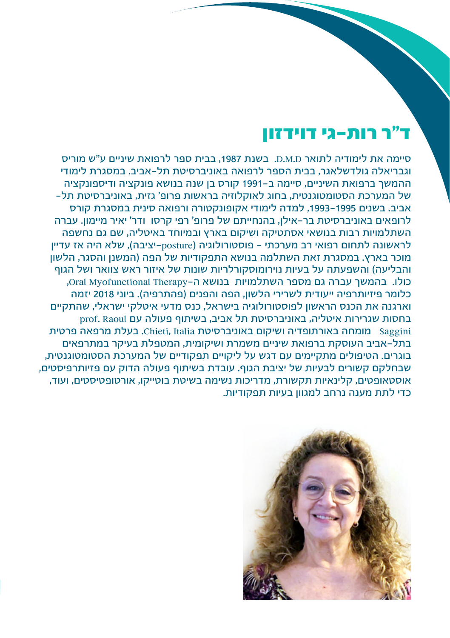## ד"ר רות-גי דוידזון

סיימה את לימודיה לתואר D.M.D. בשנת ,1987 בבית ספר לרפואת שיניים ע"ש מוריס וגבריאלה גולדשלאגר, בבית הספר לרפואה באוניברסיטת תל-אביב. במסגרת לימודי ההמשך ברפואת השיניים, סיימה ב1991- קורס בן שנה בנושא פונקציה ודיספונקציה של המערכת הסטומטוגנטית, בחוג לאוקלוזיה בראשות פרופ' גזית, באוניברסיטת תל- אביב. בשנים ,1993-1995 למדה לימודי אקופונקטורה ורפואה סינית במסגרת קורס לרופאים באוניברסיטת בר-אילן, בהנחייתם של פרופ' רפי קרסו ודר' יאיר מיימון. עברה השתלמויות רבות בנושאי אסתטיקה ושיקום בארץ ובמיוחד באיטליה, שם גם נחשפה לראשונה לתחום רפואי רב מערכתי – פוסטורולוגיה )posture-יציבה(, שלא היה אז עדיין מוכר בארץ. במסגרת זאת השתלמה בנושא התפקודיות של הפה )המשנן והסגר, הלשון .<br>והבליעה) והשפעתה על בעיות נוירומוסקורלריות שונות של איזור ראש צוואר ושל הגוף כולו. בהמשר עברה גם מספר השתלמויות בנושא ה-Oral Myofunctional Therapy. כלומר פיזיותרפיה ייעודית לשרירי הלשון, הפה והפנים )פהתרפיה(. ביוני 2018 יזמה וארגנה את הכנס הראשון לפוסטורולוגיה בישראל, כנס מדעי איטלקי ישראלי, שהתקיים בחסות שגרירות איטליה, באוניברסיטת תל אביב, בשיתוף פעולה עם Raoul .prof Saggini מומחה באורתופדיה ושיקום באוניברסיטת Italia ,Chieti. בעלת מרפאה פרטית בתל-אביב העוסקת ברפואת שיניים משמרת ושיקומית, המטפלת בעיקר במתרפאים בוגרים. הטיפולים מתקיימים עם דגש על ליקויים תפקודיים של המערכת הסטומטוגנטית, שבחלקם קשורים לבעיות של יציבת הגוף. עובדת בשיתוף פעולה הדוק עם פזיותרפיסטים, אוסטאופטים, קלינאיות תקשורת, מדריכות נשימה בשיטת בוטייקו, אורטופטיסטים, ועוד, כדי לתת מענה נרחב למגוון בעיות תפקודיות.